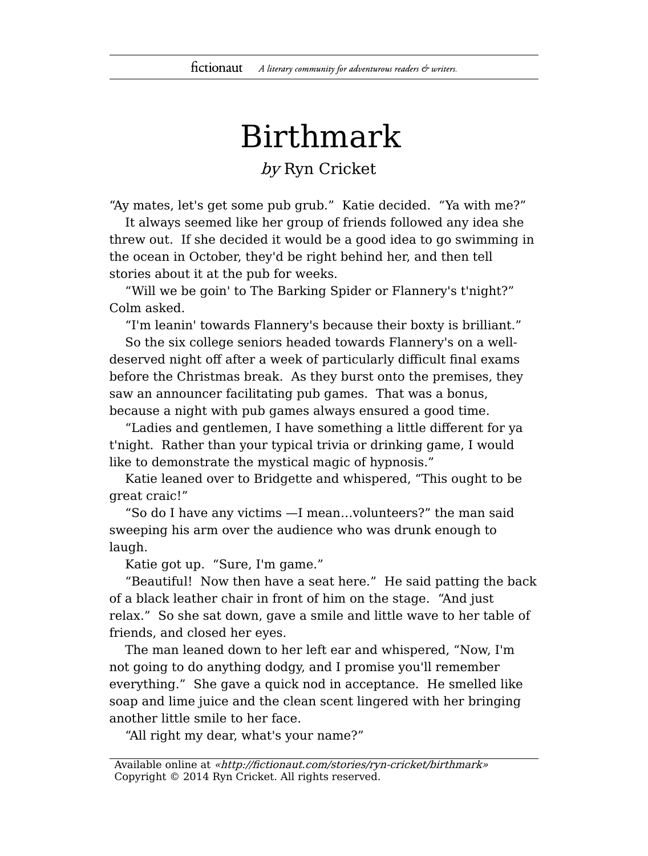## Birthmark

## by Ryn Cricket

"Ay mates, let's get some pub grub." Katie decided. "Ya with me?"

It always seemed like her group of friends followed any idea she threw out. If she decided it would be a good idea to go swimming in the ocean in October, they'd be right behind her, and then tell stories about it at the pub for weeks.

"Will we be goin' to The Barking Spider or Flannery's t'night?" Colm asked.

"I'm leanin' towards Flannery's because their boxty is brilliant."

So the six college seniors headed towards Flannery's on a welldeserved night off after a week of particularly difficult final exams before the Christmas break. As they burst onto the premises, they saw an announcer facilitating pub games. That was a bonus, because a night with pub games always ensured a good time.

"Ladies and gentlemen, I have something a little different for ya t'night. Rather than your typical trivia or drinking game, I would like to demonstrate the mystical magic of hypnosis."

Katie leaned over to Bridgette and whispered, "This ought to be great craic!"

"So do I have any victims —I mean…volunteers?" the man said sweeping his arm over the audience who was drunk enough to laugh.

Katie got up. "Sure, I'm game."

"Beautiful! Now then have a seat here." He said patting the back of a black leather chair in front of him on the stage. "And just relax." So she sat down, gave a smile and little wave to her table of friends, and closed her eyes.

The man leaned down to her left ear and whispered, "Now, I'm not going to do anything dodgy, and I promise you'll remember everything." She gave a quick nod in acceptance. He smelled like soap and lime juice and the clean scent lingered with her bringing another little smile to her face.

"All right my dear, what's your name?"

Available online at «http://fictionaut.com/stories/ryn-cricket/birthmark» Copyright © 2014 Ryn Cricket. All rights reserved.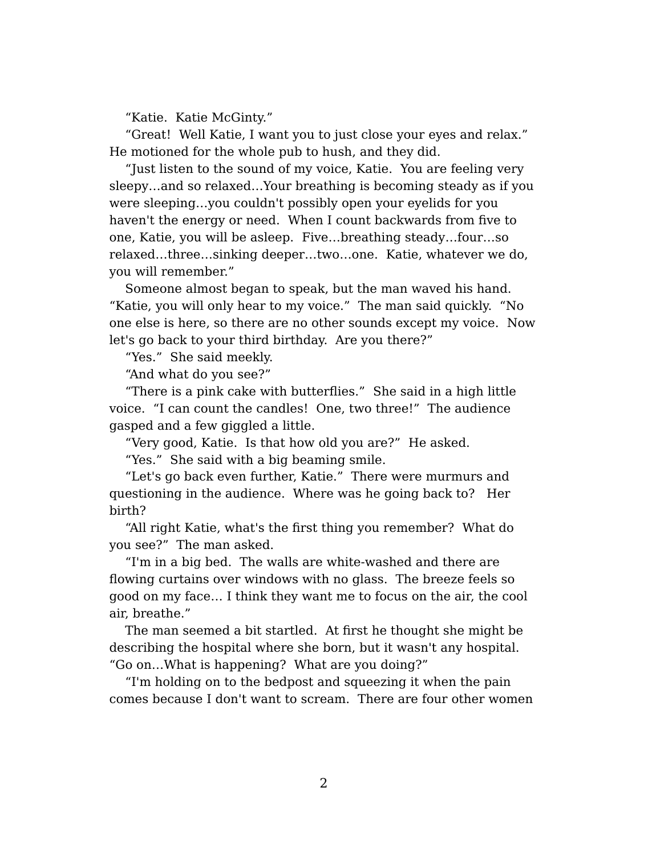"Katie. Katie McGinty."

"Great! Well Katie, I want you to just close your eyes and relax." He motioned for the whole pub to hush, and they did.

"Just listen to the sound of my voice, Katie. You are feeling very sleepy…and so relaxed…Your breathing is becoming steady as if you were sleeping…you couldn't possibly open your eyelids for you haven't the energy or need. When I count backwards from five to one, Katie, you will be asleep. Five…breathing steady…four…so relaxed…three…sinking deeper…two…one. Katie, whatever we do, you will remember."

Someone almost began to speak, but the man waved his hand. "Katie, you will only hear to my voice." The man said quickly. "No one else is here, so there are no other sounds except my voice. Now let's go back to your third birthday. Are you there?"

"Yes." She said meekly.

"And what do you see?"

"There is a pink cake with butterflies." She said in a high little voice. "I can count the candles! One, two three!" The audience gasped and a few giggled a little.

"Very good, Katie. Is that how old you are?" He asked.

"Yes." She said with a big beaming smile.

"Let's go back even further, Katie." There were murmurs and questioning in the audience. Where was he going back to? Her birth?

"All right Katie, what's the first thing you remember? What do you see?" The man asked.

"I'm in a big bed. The walls are white-washed and there are flowing curtains over windows with no glass. The breeze feels so good on my face… I think they want me to focus on the air, the cool air, breathe."

The man seemed a bit startled. At first he thought she might be describing the hospital where she born, but it wasn't any hospital. "Go on…What is happening? What are you doing?"

"I'm holding on to the bedpost and squeezing it when the pain comes because I don't want to scream. There are four other women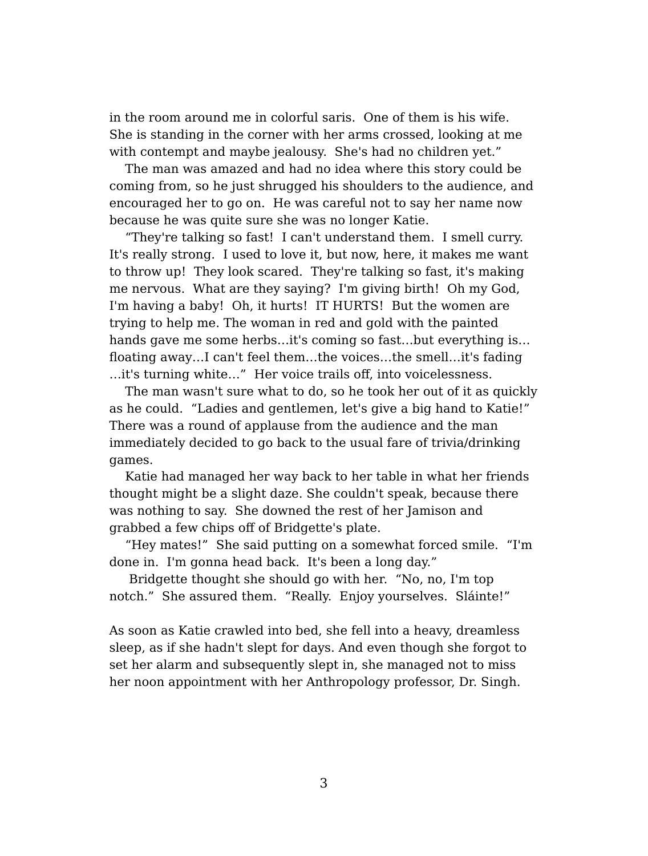in the room around me in colorful saris. One of them is his wife. She is standing in the corner with her arms crossed, looking at me with contempt and maybe jealousy. She's had no children yet."

The man was amazed and had no idea where this story could be coming from, so he just shrugged his shoulders to the audience, and encouraged her to go on. He was careful not to say her name now because he was quite sure she was no longer Katie.

"They're talking so fast! I can't understand them. I smell curry. It's really strong. I used to love it, but now, here, it makes me want to throw up! They look scared. They're talking so fast, it's making me nervous. What are they saying? I'm giving birth! Oh my God, I'm having a baby! Oh, it hurts! IT HURTS! But the women are trying to help me. The woman in red and gold with the painted hands gave me some herbs…it's coming so fast…but everything is… floating away…I can't feel them…the voices…the smell…it's fading …it's turning white…" Her voice trails off, into voicelessness.

The man wasn't sure what to do, so he took her out of it as quickly as he could. "Ladies and gentlemen, let's give a big hand to Katie!" There was a round of applause from the audience and the man immediately decided to go back to the usual fare of trivia/drinking games.

Katie had managed her way back to her table in what her friends thought might be a slight daze. She couldn't speak, because there was nothing to say. She downed the rest of her Jamison and grabbed a few chips off of Bridgette's plate.

"Hey mates!" She said putting on a somewhat forced smile. "I'm done in. I'm gonna head back. It's been a long day."

Bridgette thought she should go with her. "No, no, I'm top notch." She assured them. "Really. Enjoy yourselves. Sláinte!"

As soon as Katie crawled into bed, she fell into a heavy, dreamless sleep, as if she hadn't slept for days. And even though she forgot to set her alarm and subsequently slept in, she managed not to miss her noon appointment with her Anthropology professor, Dr. Singh.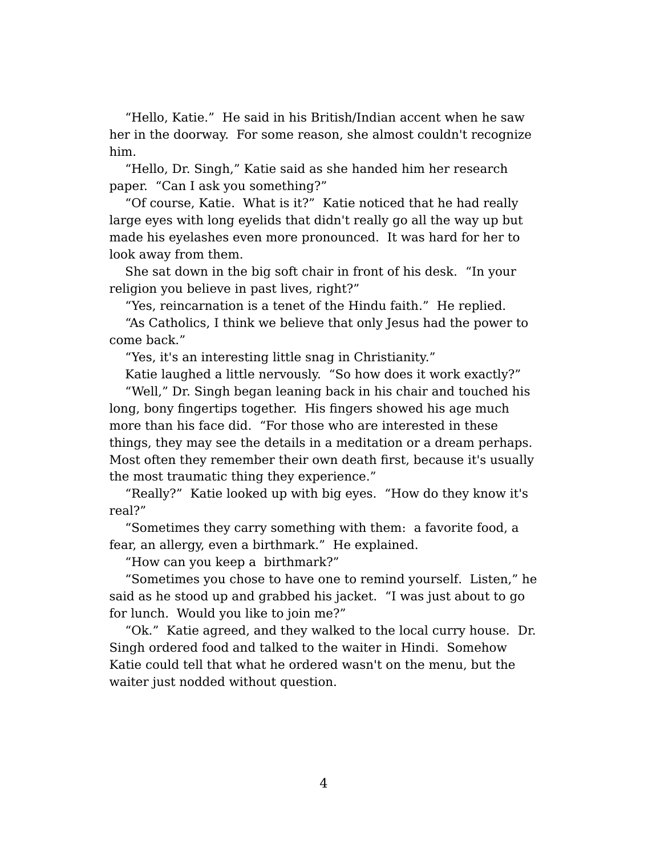"Hello, Katie." He said in his British/Indian accent when he saw her in the doorway. For some reason, she almost couldn't recognize him.

"Hello, Dr. Singh," Katie said as she handed him her research paper. "Can I ask you something?"

"Of course, Katie. What is it?" Katie noticed that he had really large eyes with long eyelids that didn't really go all the way up but made his eyelashes even more pronounced. It was hard for her to look away from them.

She sat down in the big soft chair in front of his desk. "In your religion you believe in past lives, right?"

"Yes, reincarnation is a tenet of the Hindu faith." He replied.

"As Catholics, I think we believe that only Jesus had the power to come back."

"Yes, it's an interesting little snag in Christianity."

Katie laughed a little nervously. "So how does it work exactly?" "Well," Dr. Singh began leaning back in his chair and touched his long, bony fingertips together. His fingers showed his age much more than his face did. "For those who are interested in these things, they may see the details in a meditation or a dream perhaps. Most often they remember their own death first, because it's usually the most traumatic thing they experience."

"Really?" Katie looked up with big eyes. "How do they know it's real?"

"Sometimes they carry something with them: a favorite food, a fear, an allergy, even a birthmark." He explained.

"How can you keep a birthmark?"

"Sometimes you chose to have one to remind yourself. Listen," he said as he stood up and grabbed his jacket. "I was just about to go for lunch. Would you like to join me?"

"Ok." Katie agreed, and they walked to the local curry house. Dr. Singh ordered food and talked to the waiter in Hindi. Somehow Katie could tell that what he ordered wasn't on the menu, but the waiter just nodded without question.